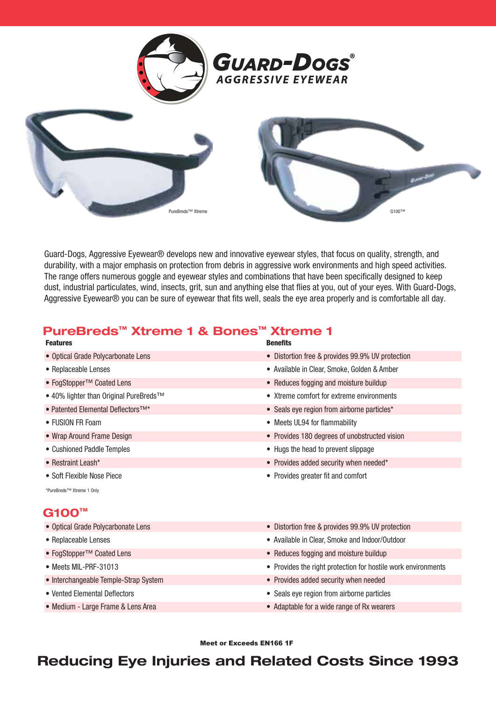





Guard-Dogs, Aggressive Eyewear® develops new and innovative eyewear styles, that focus on quality, strength, and durability, with a major emphasis on protection from debris in aggressive work environments and high speed activities. The range offers numerous goggle and eyewear styles and combinations that have been specifically designed to keep dust, industrial particulates, wind, insects, grit, sun and anything else that flies at you, out of your eyes. With Guard-Dogs, Aggressive Eyewear® you can be sure of eyewear that fits well, seals the eye area properly and is comfortable all day.

## PureBreds™ Xtreme 1 & Bones™ Xtreme 1

| <b>Features</b>                                     | <b>Benefits</b>                                               |
|-----------------------------------------------------|---------------------------------------------------------------|
| • Optical Grade Polycarbonate Lens                  | • Distortion free & provides 99.9% UV protection              |
| • Replaceable Lenses                                | • Available in Clear, Smoke, Golden & Amber                   |
| ● FogStopper <sup>TM</sup> Coated Lens              | • Reduces fogging and moisture buildup                        |
| • 40% lighter than Original PureBreds <sup>TM</sup> | • Xtreme comfort for extreme environments                     |
| • Patented Elemental Deflectors <sup>TM*</sup>      | • Seals eye region from airborne particles*                   |
| • FUSION FR Foam                                    | • Meets UL94 for flammability                                 |
| • Wrap Around Frame Design                          | • Provides 180 degrees of unobstructed vision                 |
| • Cushioned Paddle Temples                          | • Hugs the head to prevent slippage                           |
| • Restraint Leash*                                  | • Provides added security when needed*                        |
| • Soft Flexible Nose Piece                          | • Provides greater fit and comfort                            |
| *PureBreds™ Xtreme 1 Only                           |                                                               |
| <b>G100™</b>                                        |                                                               |
| • Optical Grade Polycarbonate Lens                  | • Distortion free & provides 99.9% UV protection              |
| • Replaceable Lenses                                | • Available in Clear, Smoke and Indoor/Outdoor                |
| ● FogStopper <sup>TM</sup> Coated Lens              | • Reduces fogging and moisture buildup                        |
| • Meets MIL-PRF-31013                               | • Provides the right protection for hostile work environments |
| • Interchangeable Temple-Strap System               | • Provides added security when needed                         |
| • Vented Elemental Deflectors                       | • Seals eye region from airborne particles                    |

• Medium - Large Frame & Lens Area **• Adaptable for a wide range of Rx wearers** 

Meet or Exceeds EN166 1F

## Reducing Eye Injuries and Related Costs Since 1993